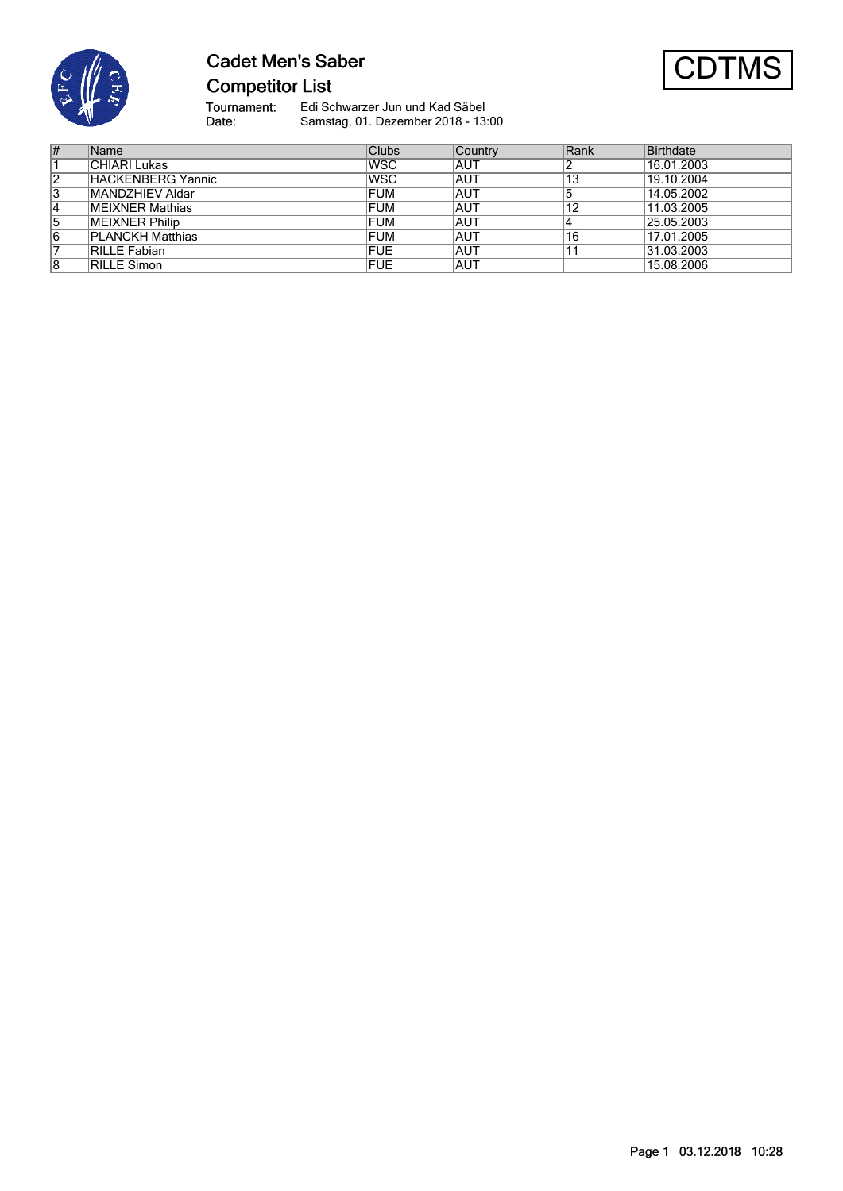

# **Cadet Men's Saber Competitor List**



Tournament:<br>Date: Edi Schwarzer Jun und Kad Säbel Samstag, 01. Dezember 2018 - 13:00

| #  | Name                    | <b>Clubs</b> | Country    | Rank | Birthdate  |
|----|-------------------------|--------------|------------|------|------------|
|    | CHIARI Lukas            | <b>WSC</b>   | <b>AUT</b> |      | 16.01.2003 |
| 2  | HACKENBERG Yannic       | <b>WSC</b>   | <b>AUT</b> | 13   | 19.10.2004 |
| 3  | MANDZHIEV Aldar         | <b>FUM</b>   | <b>AUT</b> | 5    | 14.05.2002 |
| 14 | <b>MEIXNER Mathias</b>  | <b>FUM</b>   | <b>AUT</b> | 12   | 11.03.2005 |
| 15 | <b>MEIXNER Philip</b>   | <b>FUM</b>   | <b>AUT</b> |      | 25.05.2003 |
| 6  | <b>PLANCKH Matthias</b> | <b>FUM</b>   | <b>AUT</b> | 16   | 17.01.2005 |
|    | RILLE Fabian            | <b>FUE</b>   | <b>AUT</b> |      | 31.03.2003 |
| 8  | <b>RILLE Simon</b>      | <b>FUE</b>   | <b>AUT</b> |      | 15.08.2006 |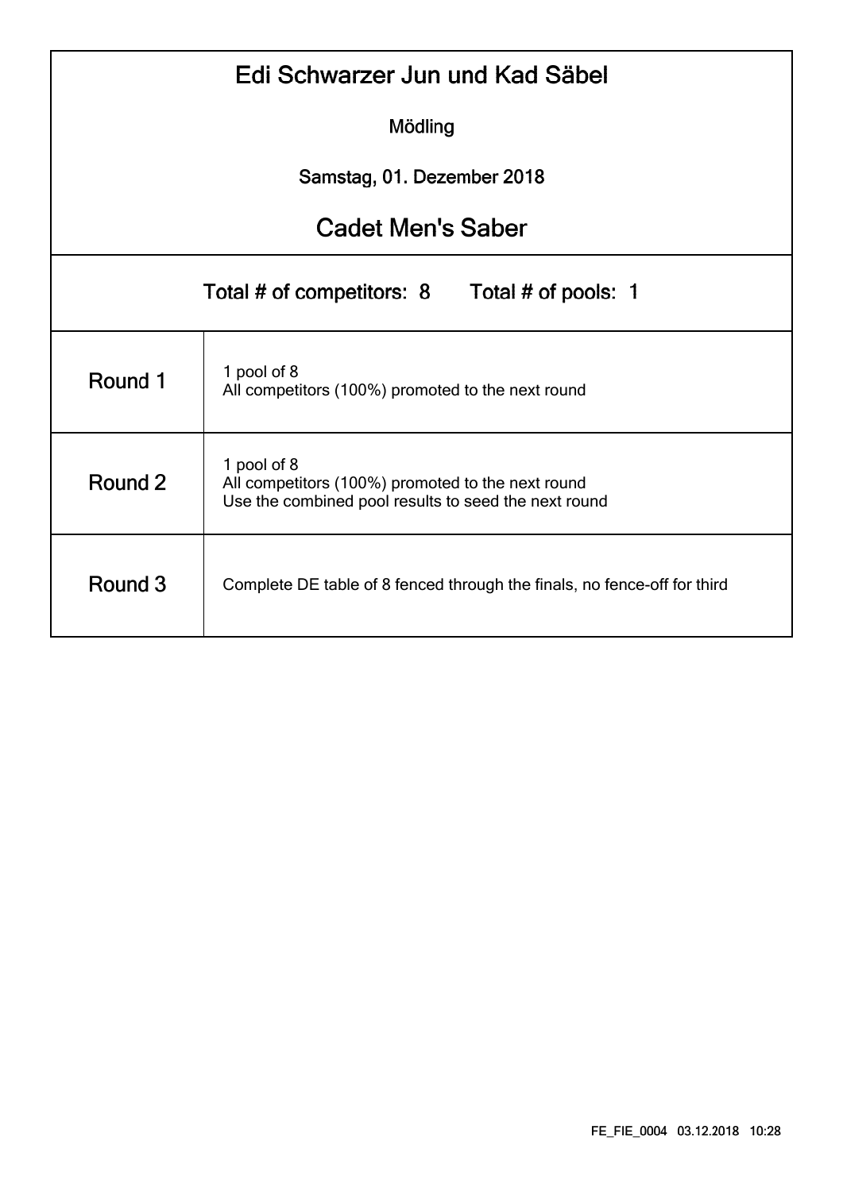| Edi Schwarzer Jun und Kad Säbel                  |                                                                                                                          |  |  |  |  |  |  |  |  |  |
|--------------------------------------------------|--------------------------------------------------------------------------------------------------------------------------|--|--|--|--|--|--|--|--|--|
| Mödling                                          |                                                                                                                          |  |  |  |  |  |  |  |  |  |
| Samstag, 01. Dezember 2018                       |                                                                                                                          |  |  |  |  |  |  |  |  |  |
| <b>Cadet Men's Saber</b>                         |                                                                                                                          |  |  |  |  |  |  |  |  |  |
| Total # of competitors: 8<br>Total # of pools: 1 |                                                                                                                          |  |  |  |  |  |  |  |  |  |
| Round 1                                          | 1 pool of 8<br>All competitors (100%) promoted to the next round                                                         |  |  |  |  |  |  |  |  |  |
| Round 2                                          | 1 pool of 8<br>All competitors (100%) promoted to the next round<br>Use the combined pool results to seed the next round |  |  |  |  |  |  |  |  |  |
| Round 3                                          | Complete DE table of 8 fenced through the finals, no fence-off for third                                                 |  |  |  |  |  |  |  |  |  |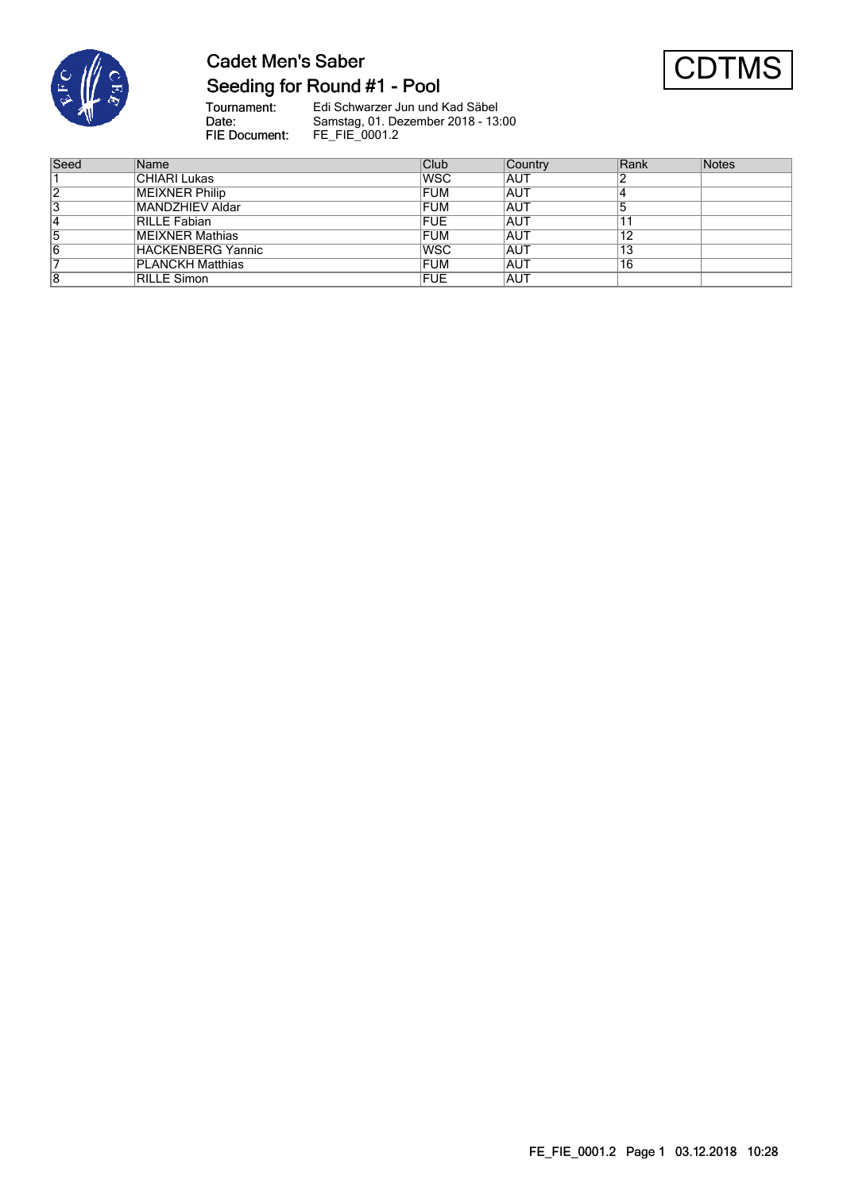

# **Cadet Men's Saber** Seeding for Round #1 - Pool



Tournament:<br>Date:<br>FIE Document: Edi Schwarzer Jun und Kad Säbel Samstag, 01. Dezember 2018 - 13:00 FE\_FIE\_0001.2

| Seed | Name                    | Club        | Country    | Rank | <b>Notes</b> |
|------|-------------------------|-------------|------------|------|--------------|
|      | CHIARI Lukas            | <b>IWSC</b> | <b>AUT</b> |      |              |
| 2    | MEIXNER Philip          | <b>FUM</b>  | <b>AUT</b> |      |              |
| 3    | MANDZHIEV Aldar         | <b>FUM</b>  | <b>AUT</b> |      |              |
| 14   | RILLE Fabian            | <b>FUE</b>  | IAUT       |      |              |
| 5    | MEIXNER Mathias         | <b>FUM</b>  | <b>AUT</b> | 12   |              |
| 16   | HACKENBERG Yannic       | <b>IWSC</b> | IAUT       | 13   |              |
|      | <b>PLANCKH Matthias</b> | <b>FUM</b>  | <b>AUT</b> | 16   |              |
| 8    | <b>RILLE Simon</b>      | <b>FUE</b>  | <b>AUT</b> |      |              |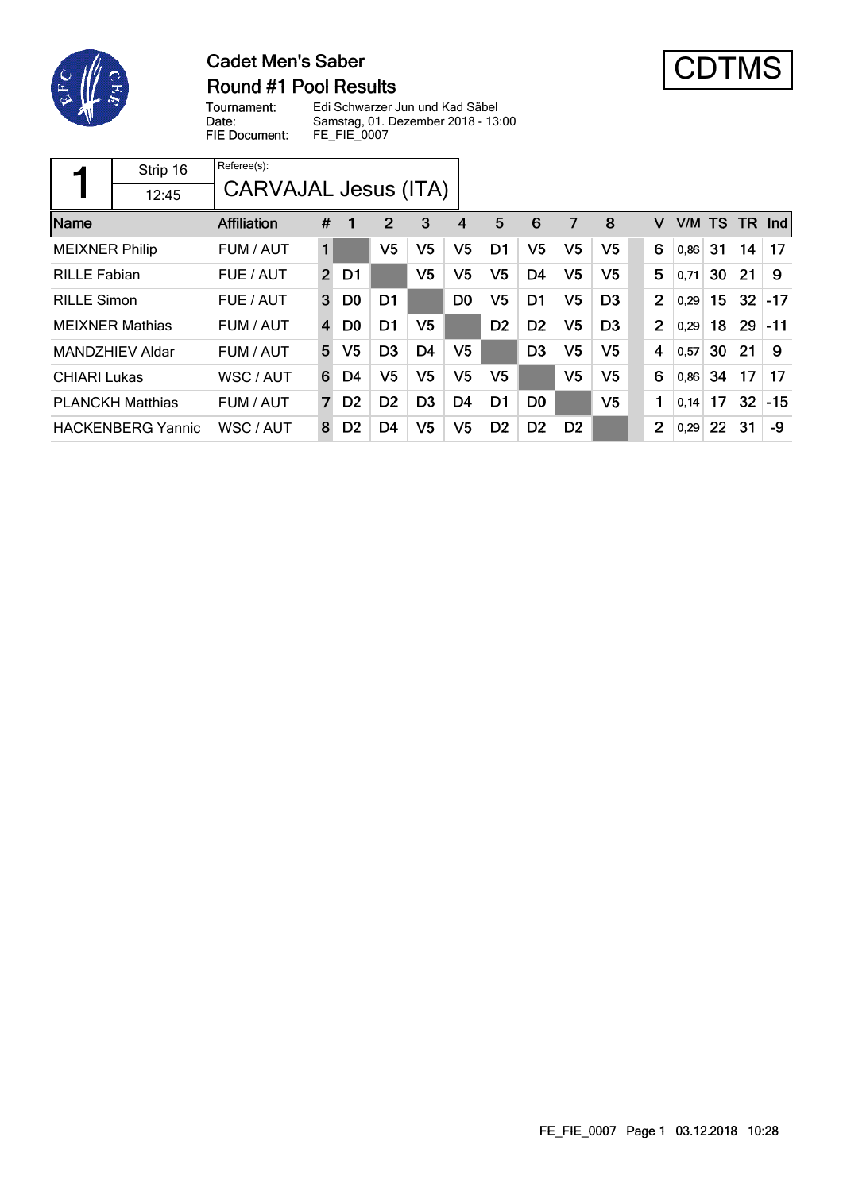

## **Cadet Men's Saber Round #1 Pool Results**



Tournament: Date: FIE Document:

Edi Schwarzer Jun und Kad Säbel Samstag, 01. Dezember 2018 - 13:00 FE\_FIE\_0007

|                       | Strip 16                 | Referee(s):          |    |                |                |                |                |                |                |                |                |                |      |     |     |               |
|-----------------------|--------------------------|----------------------|----|----------------|----------------|----------------|----------------|----------------|----------------|----------------|----------------|----------------|------|-----|-----|---------------|
|                       | 12:45                    | CARVAJAL Jesus (ITA) |    |                |                |                |                |                |                |                |                |                |      |     |     |               |
| Name                  |                          | <b>Affiliation</b>   | #  | 1              | 2              | 3              | 4              | 5              | 6              | 7              | 8              | v              | V/M  | TS. | TR. | $\lfloor$ Ind |
| <b>MEIXNER Philip</b> |                          | FUM / AUT            | 1  |                | V5             | V5             | V5             | D1             | V5             | V5             | V5             | 6              | 0,86 | 31  | 14  | 17            |
| <b>RILLE Fabian</b>   |                          | FUE / AUT            | 2  | D1             |                | V <sub>5</sub> | V5             | V5             | D <sub>4</sub> | V <sub>5</sub> | V5             | 5              | 0,71 | 30  | 21  | 9             |
| <b>RILLE Simon</b>    |                          | FUE / AUT            | 3  | D <sub>0</sub> | D <sub>1</sub> |                | D <sub>0</sub> | V5             | D1             | V <sub>5</sub> | D <sub>3</sub> | 2              | 0,29 | 15  | 32  | $-17$         |
|                       | <b>MEIXNER Mathias</b>   | FUM / AUT            | 4  | D <sub>0</sub> | D <sub>1</sub> | V5             |                | D <sub>2</sub> | D <sub>2</sub> | V5             | D <sub>3</sub> | $\overline{2}$ | 0,29 | 18  | 29  | $-11$         |
|                       | MANDZHIEV Aldar          | FUM / AUT            | 5. | V <sub>5</sub> | D <sub>3</sub> | D <sub>4</sub> | V5             |                | D <sub>3</sub> | V <sub>5</sub> | V5             | 4              | 0,57 | 30  | 21  | 9             |
| <b>CHIARI Lukas</b>   |                          | WSC / AUT            | 6  | D4             | V5             | V <sub>5</sub> | V5             | V5             |                | V <sub>5</sub> | V5             | 6              | 0,86 | 34  | 17  | 17            |
|                       | <b>PLANCKH Matthias</b>  | FUM / AUT            | 7  | D <sub>2</sub> | D <sub>2</sub> | D <sub>3</sub> | D <sub>4</sub> | D <sub>1</sub> | D <sub>0</sub> |                | V <sub>5</sub> | 1              | 0,14 | 17  | 32  | $-15$         |
|                       | <b>HACKENBERG Yannic</b> | WSC / AUT            | 8  | D <sub>2</sub> | D4             | V <sub>5</sub> | V <sub>5</sub> | D <sub>2</sub> | D <sub>2</sub> | D <sub>2</sub> |                | $\overline{2}$ | 0,29 | 22  | 31  | -9            |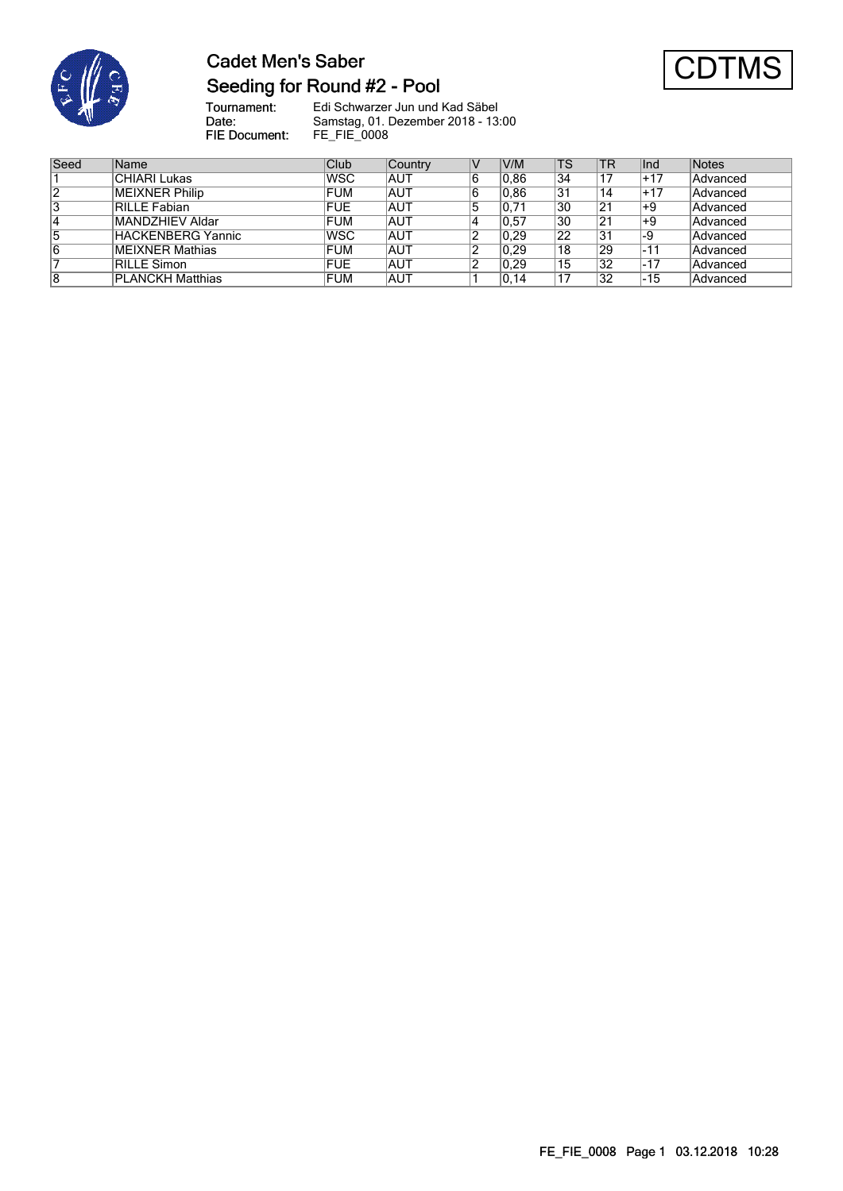

# **Cadet Men's Saber** Seeding for Round #2 - Pool



Tournament:<br>Date: Edi Schwarzer Jun und Kad Säbel Samstag, 01. Dezember 2018 - 13:00 FIE Document: FE\_FIE\_0008

| Seed | Name                    | Club       | Country     | N  | V/M  | <b>TS</b> | <b>TR</b> | Ind   | Notes    |
|------|-------------------------|------------|-------------|----|------|-----------|-----------|-------|----------|
|      | CHIARI Lukas            | <b>WSC</b> | <b>AUT</b>  | 16 | 0.86 | 34        | 17        | +17   | Advanced |
| 2    | MEIXNER Philip          | <b>FUM</b> | <b>AUT</b>  | 16 | 0.86 | 131       | 14        | $+17$ | Advanced |
| 3    | RILLE Fabian            | <b>FUE</b> | <b>AUT</b>  | 5  | 0,71 | 30        | 21        | ∣+9   | Advanced |
| 4    | MANDZHIEV Aldar         | <b>FUM</b> | <b>AUT</b>  |    | 0,57 | 30        | 21        | $+9$  | Advanced |
| 5    | HACKENBERG Yannic       | <b>WSC</b> | <b>IAUT</b> |    | 0.29 | 22        | 31        | $-9$  | Advanced |
| 6    | MEIXNER Mathias         | <b>FUM</b> | <b>AUT</b>  |    | 0.29 | 18        | 29        | -11   | Advanced |
|      | RILLE Simon             | <b>FUE</b> | IAUT        |    | 0.29 | 15        | 32        | $-17$ | Advanced |
| 8    | <b>PLANCKH Matthias</b> | <b>FUM</b> | <b>AUT</b>  |    | 0,14 | 17،       | 32        | $-15$ | Advanced |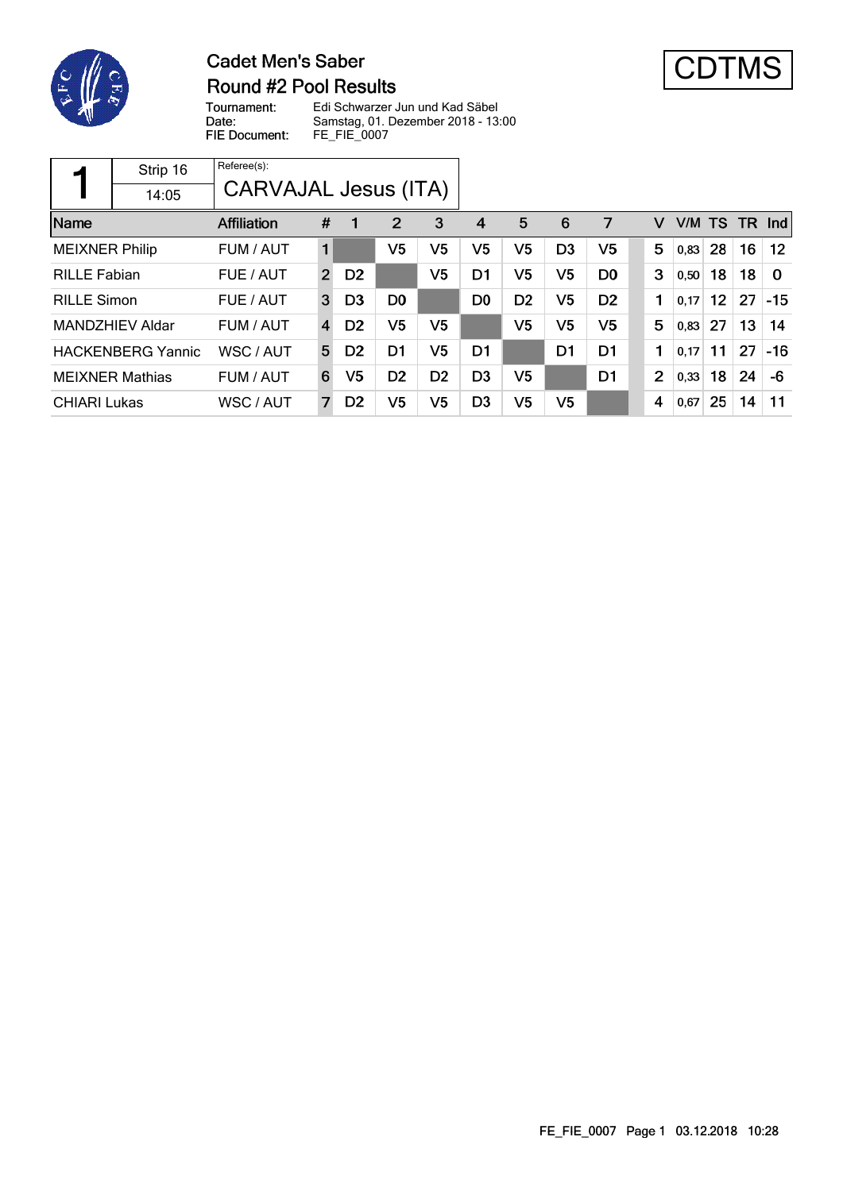

## **Cadet Men's Saber** Round #2 Pool Results



Tournament: Date: FIE Document:

Edi Schwarzer Jun und Kad Säbel Samstag, 01. Dezember 2018 - 13:00 FE\_FIE\_0007

|                       | Strip 16                 | Referee(s):<br><b>CARVAJAL Jesus (ITA)</b> |                |                |                |                |                |                |                |                |                |        |    |           |                   |
|-----------------------|--------------------------|--------------------------------------------|----------------|----------------|----------------|----------------|----------------|----------------|----------------|----------------|----------------|--------|----|-----------|-------------------|
| Name                  | 14:05                    | <b>Affiliation</b>                         | #              |                | $\overline{2}$ | 3              | 4              | 5              | 6              | 7              | v              | V/M TS |    | <b>TR</b> | nd                |
| <b>MEIXNER Philip</b> |                          | FUM / AUT                                  | 1              |                | V <sub>5</sub> | V5             | V <sub>5</sub> | V5             | D <sub>3</sub> | V5             | 5              | 0,83   | 28 | 16        | $12 \overline{ }$ |
| <b>RILLE Fabian</b>   |                          | FUE / AUT                                  | $\overline{2}$ | D <sub>2</sub> |                | V <sub>5</sub> | D1             | V <sub>5</sub> | V <sub>5</sub> | D <sub>0</sub> | 3              | 0,50   | 18 | 18        | $\Omega$          |
| <b>RILLE Simon</b>    |                          | FUE / AUT                                  | 3              | D <sub>3</sub> | D <sub>0</sub> |                | D <sub>0</sub> | D <sub>2</sub> | V <sub>5</sub> | D <sub>2</sub> | 1              | 0,17   | 12 | 27        | $-15$             |
|                       | MANDZHIEV Aldar          | FUM / AUT                                  | 4              | D <sub>2</sub> | V <sub>5</sub> | V5             |                | V <sub>5</sub> | V <sub>5</sub> | V <sub>5</sub> | 5              | 0,83   | 27 | 13        | 14                |
|                       | <b>HACKENBERG Yannic</b> | WSC / AUT                                  | 5              | D <sub>2</sub> | D <sub>1</sub> | V5             | D <sub>1</sub> |                | D1             | D <sub>1</sub> | 1              | 0,17   | 11 | 27        | $-16$             |
|                       | <b>MEIXNER Mathias</b>   | FUM / AUT                                  | 6              | V5             | D <sub>2</sub> | D <sub>2</sub> | D <sub>3</sub> | V <sub>5</sub> |                | D <sub>1</sub> | $\overline{2}$ | 0,33   | 18 | 24        | -6                |
| <b>CHIARI Lukas</b>   |                          | WSC / AUT                                  | 7              | D <sub>2</sub> | V <sub>5</sub> | V5             | D <sub>3</sub> | V <sub>5</sub> | V <sub>5</sub> |                | 4              | 0,67   | 25 | 14        | 11                |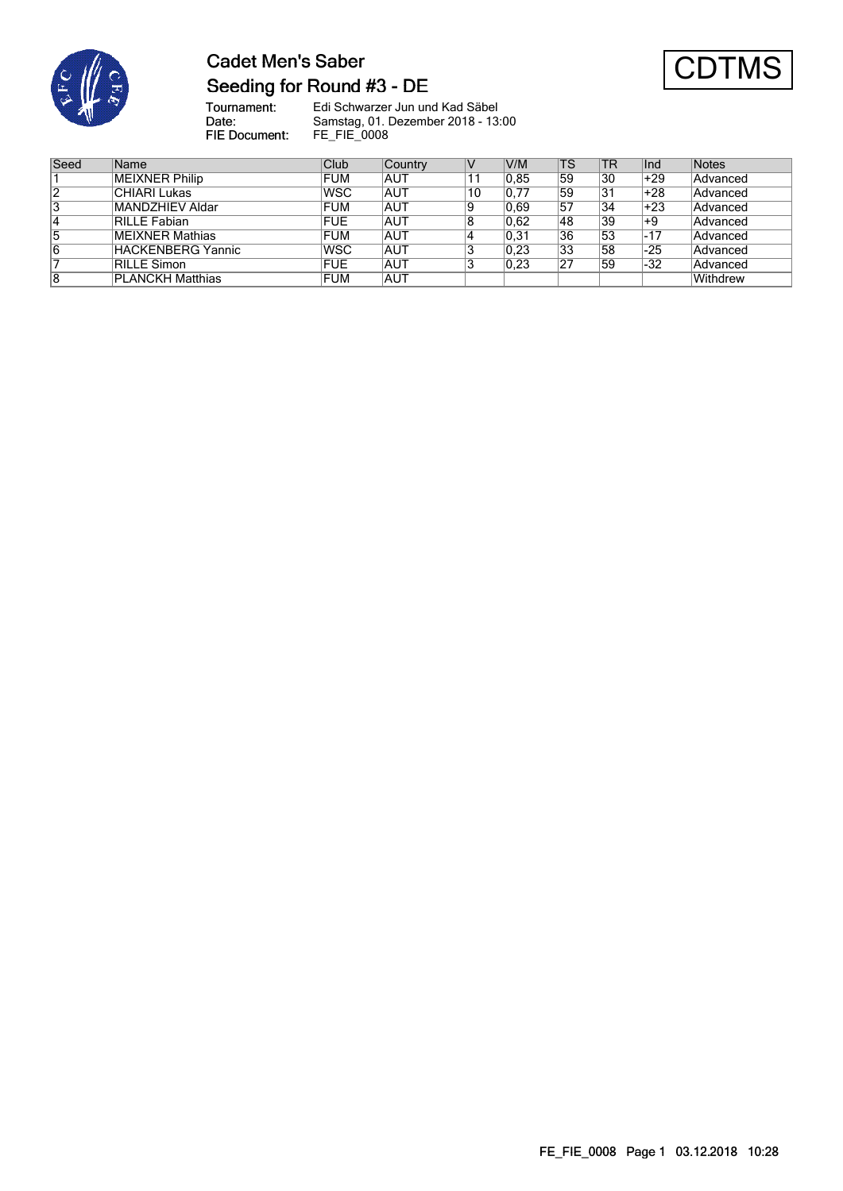

# **Cadet Men's Saber** Seeding for Round #3 - DE



Tournament:<br>Date: Edi Schwarzer Jun und Kad Säbel Samstag, 01. Dezember 2018 - 13:00 FIE Document: FE\_FIE\_0008

| Seed | Name                    | Club        | Country    | ΙV | V/M  | <b>TS</b> | <b>TR</b> | Ind   | Notes           |
|------|-------------------------|-------------|------------|----|------|-----------|-----------|-------|-----------------|
|      | <b>MEIXNER Philip</b>   | FUM         | AUT        |    | 0.85 | 59        | 30        | +29   | Advanced        |
| 2    | CHIARI Lukas            | <b>WSC</b>  | AUT        | 10 | 0.77 | 59        | 31        | +28   | Advanced        |
| 3    | MANDZHIEV Aldar         | <b>FUM</b>  | <b>AUT</b> | 19 | 0.69 | 57        | 34        | $+23$ | Advanced        |
| 4    | RILLE Fabian            | FUE         | <b>AUT</b> | 8  | 0,62 | 48        | 39        | $+9$  | Advanced        |
| 5    | MEIXNER Mathias         | FUM         | IAUT       |    | 0,31 | 36        | 53        | $-17$ | Advanced        |
| 6    | HACKENBERG Yannic       | <b>IWSC</b> | IAUT       | J  | 0,23 | 33        | 58        | $-25$ | Advanced        |
|      | RILLE Simon             | FUE         | IAUT       | 3  | 0,23 | 27        | 59        | -32   | Advanced        |
| 8    | <b>PLANCKH Matthias</b> | FUM         | <b>AUT</b> |    |      |           |           |       | <b>Withdrew</b> |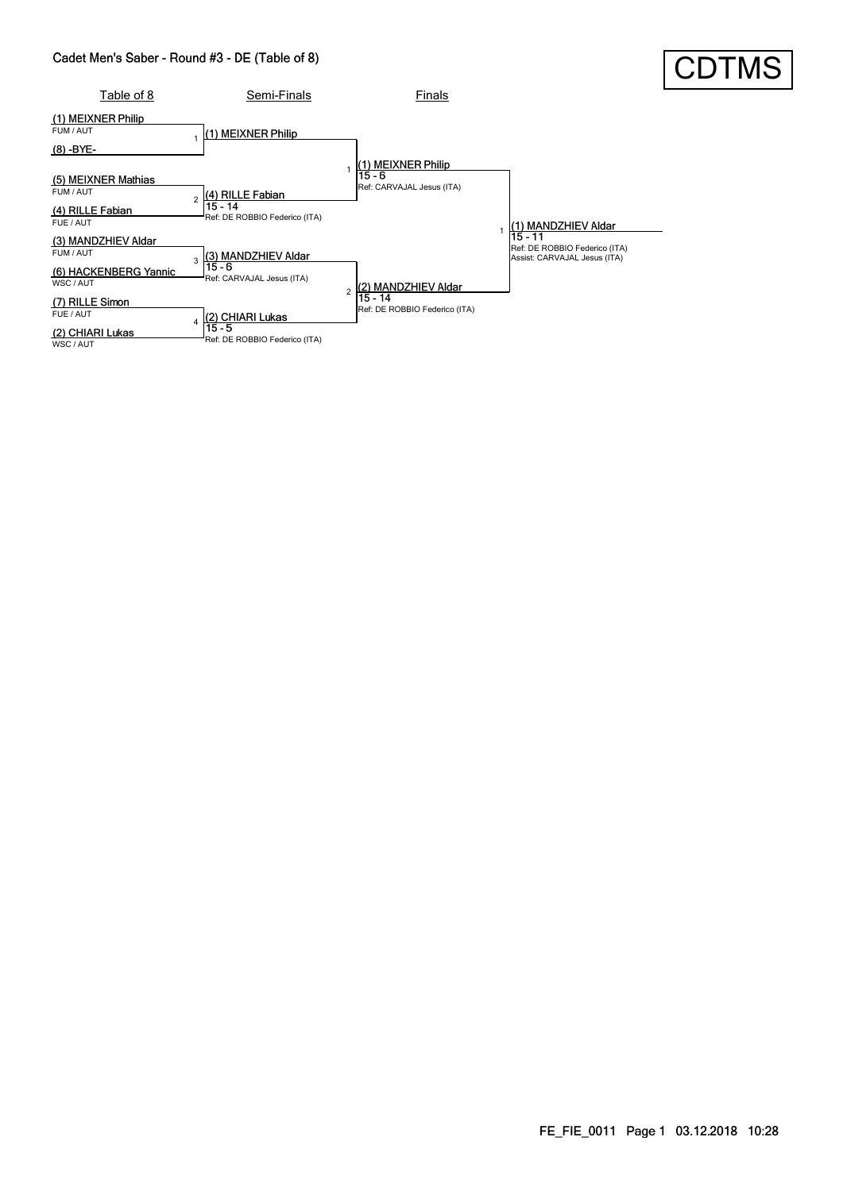#### Cadet Men's Saber - Round #3 - DE (Table of 8)

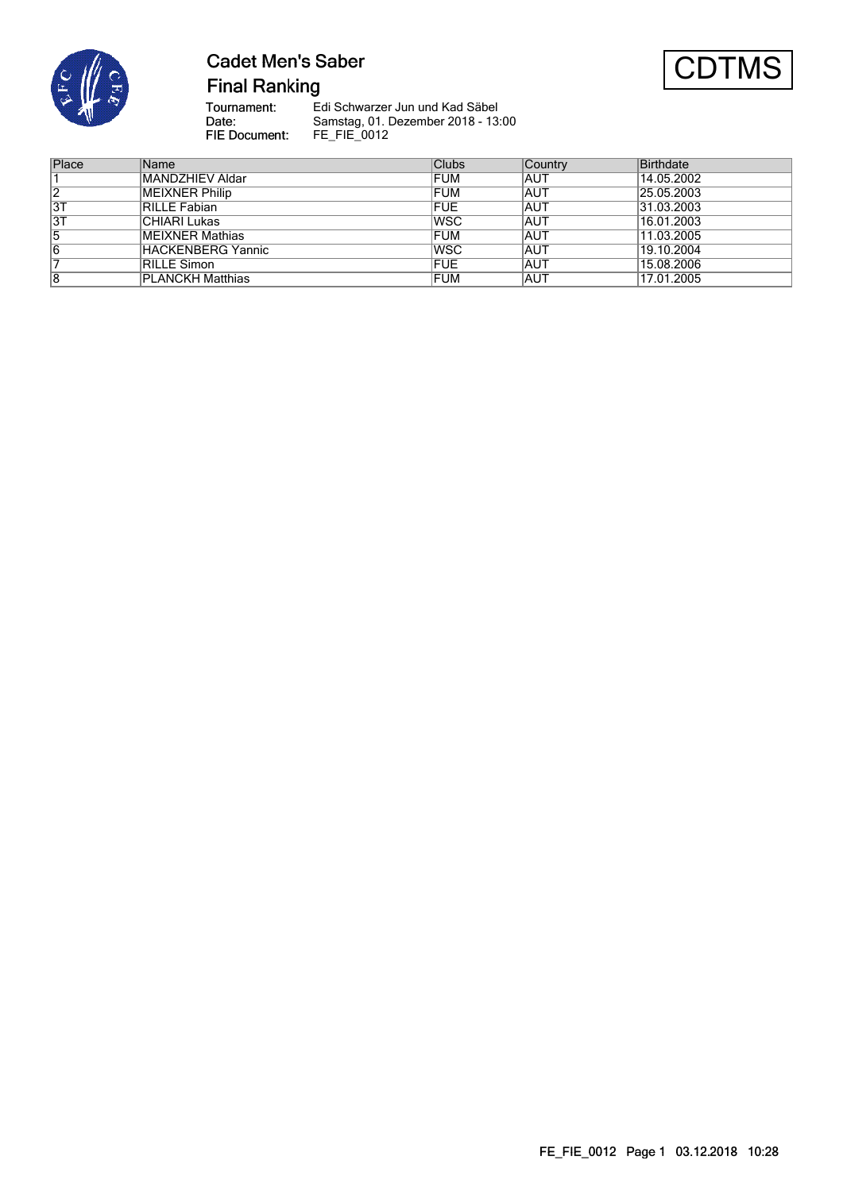

# **Cadet Men's Saber**



**Final Ranking** 

Tournament:<br>Date: Edi Schwarzer Jun und Kad Säbel Samstag, 01. Dezember 2018 - 13:00 FIE Document: FE\_FIE\_0012

| Place | Name                  | Clubs      | Country | <b>Birthdate</b> |
|-------|-----------------------|------------|---------|------------------|
|       | MANDZHIEV Aldar       | <b>FUM</b> | IAUT    | 14.05.2002       |
| 2     | <b>MEIXNER Philip</b> | <b>FUM</b> | IAUT    | 25.05.2003       |
| 3T    | RILLE Fabian          | <b>FUE</b> | IAUT    | 31.03.2003       |
| 3T    | CHIARI Lukas          | <b>WSC</b> | IAUT    | 16.01.2003       |
| 5     | MEIXNER Mathias       | FUM        | IAUT    | 11.03.2005       |
| 6     | HACKENBERG Yannic     | <b>WSC</b> | IAUT    | 19.10.2004       |
|       | RILLE Simon           | <b>FUE</b> | IAUT    | 15.08.2006       |
| 8     | PLANCKH Matthias      | FUM        | IAUT    | 17.01.2005       |